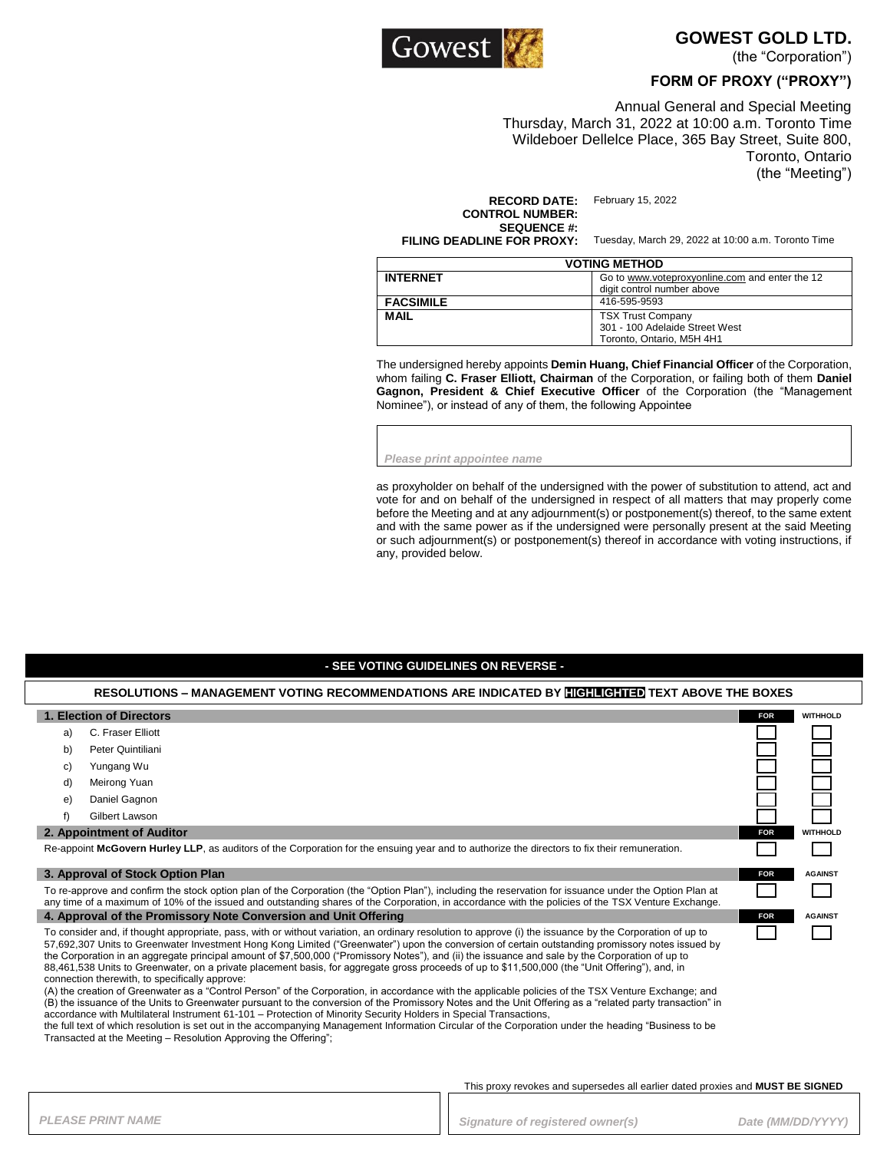

**GOWEST GOLD LTD.** 

(the "Corporation")

### **FORM OF PROXY ("PROXY")**

Annual General and Special Meeting Thursday, March 31, 2022 at 10:00 a.m. Toronto Time Wildeboer Dellelce Place, 365 Bay Street, Suite 800, Toronto, Ontario (the "Meeting")

**RECORD DATE:** February 15, 2022 **CONTROL NUMBER: SEQUENCE #:**<br>FILING DEADLINE FOR PROXY:

Tuesday, March 29, 2022 at 10:00 a.m. Toronto Time

| <b>VOTING METHOD</b> |                                                                                         |  |
|----------------------|-----------------------------------------------------------------------------------------|--|
| <b>INTERNET</b>      | Go to www.voteproxyonline.com and enter the 12<br>digit control number above            |  |
| <b>FACSIMILE</b>     | 416-595-9593                                                                            |  |
| <b>MAIL</b>          | <b>TSX Trust Company</b><br>301 - 100 Adelaide Street West<br>Toronto, Ontario, M5H 4H1 |  |

The undersigned hereby appoints **Demin Huang, Chief Financial Officer** of the Corporation, whom failing **C. Fraser Elliott, Chairman** of the Corporation, or failing both of them **Daniel Gagnon, President & Chief Executive Officer** of the Corporation (the "Management Nominee"), or instead of any of them, the following Appointee

*Please print appointee name*

as proxyholder on behalf of the undersigned with the power of substitution to attend, act and vote for and on behalf of the undersigned in respect of all matters that may properly come before the Meeting and at any adjournment(s) or postponement(s) thereof, to the same extent and with the same power as if the undersigned were personally present at the said Meeting or such adjournment(s) or postponement(s) thereof in accordance with voting instructions, if any, provided below.

#### **- SEE VOTING GUIDELINES ON REVERSE -**

| RESOLUTIONS – MANAGEMENT VOTING RECOMMENDATIONS ARE INDICATED BY <b>HIGHLIGHTED</b> TEXT ABOVE THE BOXES                                                                                                                                                                                                                                                                                                                                                                                                                                                                                                                                                                                                                                                                                                                                                                                                                                                                                                                                                                                                                                                                                                                                                                                                                                   |                                                                                                                                               |            |                 |  |
|--------------------------------------------------------------------------------------------------------------------------------------------------------------------------------------------------------------------------------------------------------------------------------------------------------------------------------------------------------------------------------------------------------------------------------------------------------------------------------------------------------------------------------------------------------------------------------------------------------------------------------------------------------------------------------------------------------------------------------------------------------------------------------------------------------------------------------------------------------------------------------------------------------------------------------------------------------------------------------------------------------------------------------------------------------------------------------------------------------------------------------------------------------------------------------------------------------------------------------------------------------------------------------------------------------------------------------------------|-----------------------------------------------------------------------------------------------------------------------------------------------|------------|-----------------|--|
|                                                                                                                                                                                                                                                                                                                                                                                                                                                                                                                                                                                                                                                                                                                                                                                                                                                                                                                                                                                                                                                                                                                                                                                                                                                                                                                                            | 1. Election of Directors                                                                                                                      | <b>FOR</b> | <b>WITHHOLD</b> |  |
| a)                                                                                                                                                                                                                                                                                                                                                                                                                                                                                                                                                                                                                                                                                                                                                                                                                                                                                                                                                                                                                                                                                                                                                                                                                                                                                                                                         | C. Fraser Elliott                                                                                                                             |            |                 |  |
| b)                                                                                                                                                                                                                                                                                                                                                                                                                                                                                                                                                                                                                                                                                                                                                                                                                                                                                                                                                                                                                                                                                                                                                                                                                                                                                                                                         | Peter Quintiliani                                                                                                                             |            |                 |  |
| C)                                                                                                                                                                                                                                                                                                                                                                                                                                                                                                                                                                                                                                                                                                                                                                                                                                                                                                                                                                                                                                                                                                                                                                                                                                                                                                                                         | Yungang Wu                                                                                                                                    |            |                 |  |
| d)                                                                                                                                                                                                                                                                                                                                                                                                                                                                                                                                                                                                                                                                                                                                                                                                                                                                                                                                                                                                                                                                                                                                                                                                                                                                                                                                         | Meirong Yuan                                                                                                                                  |            |                 |  |
| e)                                                                                                                                                                                                                                                                                                                                                                                                                                                                                                                                                                                                                                                                                                                                                                                                                                                                                                                                                                                                                                                                                                                                                                                                                                                                                                                                         | Daniel Gagnon                                                                                                                                 |            |                 |  |
|                                                                                                                                                                                                                                                                                                                                                                                                                                                                                                                                                                                                                                                                                                                                                                                                                                                                                                                                                                                                                                                                                                                                                                                                                                                                                                                                            | Gilbert Lawson                                                                                                                                |            |                 |  |
|                                                                                                                                                                                                                                                                                                                                                                                                                                                                                                                                                                                                                                                                                                                                                                                                                                                                                                                                                                                                                                                                                                                                                                                                                                                                                                                                            | 2. Appointment of Auditor                                                                                                                     | <b>FOR</b> | <b>WITHHOLD</b> |  |
|                                                                                                                                                                                                                                                                                                                                                                                                                                                                                                                                                                                                                                                                                                                                                                                                                                                                                                                                                                                                                                                                                                                                                                                                                                                                                                                                            | Re-appoint McGovern Hurley LLP, as auditors of the Corporation for the ensuing year and to authorize the directors to fix their remuneration. |            |                 |  |
| 3. Approval of Stock Option Plan                                                                                                                                                                                                                                                                                                                                                                                                                                                                                                                                                                                                                                                                                                                                                                                                                                                                                                                                                                                                                                                                                                                                                                                                                                                                                                           |                                                                                                                                               | <b>FOR</b> | <b>AGAINST</b>  |  |
| To re-approve and confirm the stock option plan of the Corporation (the "Option Plan"), including the reservation for issuance under the Option Plan at<br>any time of a maximum of 10% of the issued and outstanding shares of the Corporation, in accordance with the policies of the TSX Venture Exchange.                                                                                                                                                                                                                                                                                                                                                                                                                                                                                                                                                                                                                                                                                                                                                                                                                                                                                                                                                                                                                              |                                                                                                                                               |            |                 |  |
| 4. Approval of the Promissory Note Conversion and Unit Offering                                                                                                                                                                                                                                                                                                                                                                                                                                                                                                                                                                                                                                                                                                                                                                                                                                                                                                                                                                                                                                                                                                                                                                                                                                                                            |                                                                                                                                               | <b>FOR</b> | <b>AGAINST</b>  |  |
| To consider and, if thought appropriate, pass, with or without variation, an ordinary resolution to approve (i) the issuance by the Corporation of up to<br>57,692,307 Units to Greenwater Investment Hong Kong Limited ("Greenwater") upon the conversion of certain outstanding promissory notes issued by<br>the Corporation in an aggregate principal amount of \$7,500,000 ("Promissory Notes"), and (ii) the issuance and sale by the Corporation of up to<br>88,461,538 Units to Greenwater, on a private placement basis, for aggregate gross proceeds of up to \$11,500,000 (the "Unit Offering"), and, in<br>connection therewith, to specifically approve:<br>(A) the creation of Greenwater as a "Control Person" of the Corporation, in accordance with the applicable policies of the TSX Venture Exchange; and<br>(B) the issuance of the Units to Greenwater pursuant to the conversion of the Promissory Notes and the Unit Offering as a "related party transaction" in<br>accordance with Multilateral Instrument 61-101 - Protection of Minority Security Holders in Special Transactions,<br>the full text of which resolution is set out in the accompanying Management Information Circular of the Corporation under the heading "Business to be<br>Transacted at the Meeting - Resolution Approving the Offering"; |                                                                                                                                               |            |                 |  |

This proxy revokes and supersedes all earlier dated proxies and **MUST BE SIGNED**